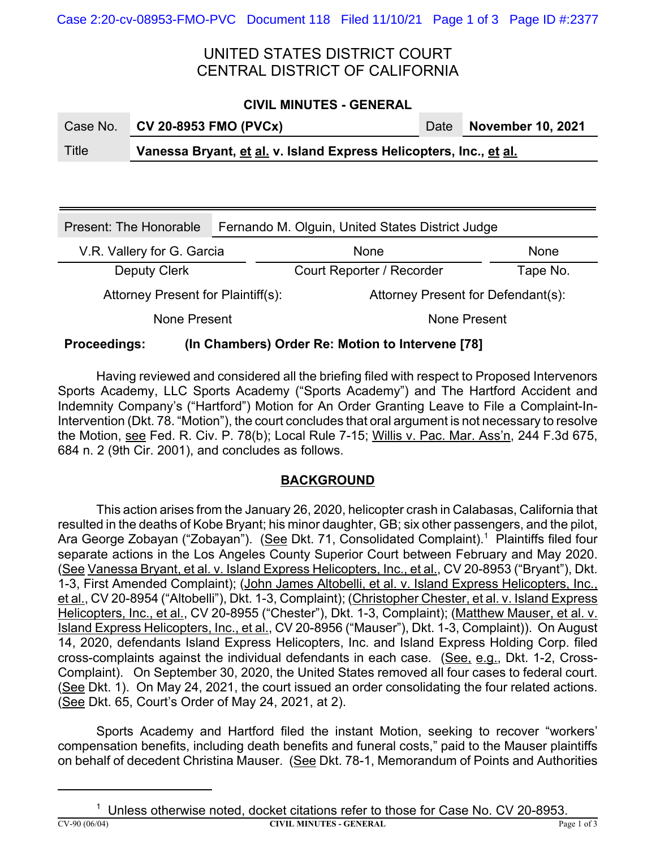# UNITED STATES DISTRICT COURT CENTRAL DISTRICT OF CALIFORNIA

#### **CIVIL MINUTES - GENERAL**

| Case No. | <b>CV 20-8953 FMO (PVCx)</b>                                       |  | Date November 10, 2021 |  |  |  |
|----------|--------------------------------------------------------------------|--|------------------------|--|--|--|
| Title    | Vanessa Bryant, et al. v. Island Express Helicopters, Inc., et al. |  |                        |  |  |  |

| Present: The Honorable             | Fernando M. Olguin, United States District Judge |                                    |             |  |
|------------------------------------|--------------------------------------------------|------------------------------------|-------------|--|
| V.R. Vallery for G. Garcia         |                                                  | None                               | <b>None</b> |  |
| <b>Deputy Clerk</b>                |                                                  | Court Reporter / Recorder          | Tape No.    |  |
| Attorney Present for Plaintiff(s): |                                                  | Attorney Present for Defendant(s): |             |  |
| None Present                       |                                                  | None Present                       |             |  |

### **Proceedings: (In Chambers) Order Re: Motion to Intervene [78]**

Having reviewed and considered all the briefing filed with respect to Proposed Intervenors Sports Academy, LLC Sports Academy ("Sports Academy") and The Hartford Accident and Indemnity Company's ("Hartford") Motion for An Order Granting Leave to File a Complaint-In-Intervention (Dkt. 78. "Motion"), the court concludes that oral argument is not necessary to resolve the Motion, see Fed. R. Civ. P. 78(b); Local Rule 7-15; Willis v. Pac. Mar. Ass'n, 244 F.3d 675, 684 n. 2 (9th Cir. 2001), and concludes as follows.

### **BACKGROUND**

This action arises from the January 26, 2020, helicopter crash in Calabasas, California that resulted in the deaths of Kobe Bryant; his minor daughter, GB; six other passengers, and the pilot, Ara George Zobayan ("Zobayan"). (<u>See</u> Dkt. 71, Consolidated Complaint).<sup>1</sup> Plaintiffs filed four separate actions in the Los Angeles County Superior Court between February and May 2020. (See Vanessa Bryant, et al. v. Island Express Helicopters, Inc., et al., CV 20-8953 ("Bryant"), Dkt. 1-3, First Amended Complaint); (John James Altobelli, et al. v. Island Express Helicopters, Inc., et al., CV 20-8954 ("Altobelli"), Dkt. 1-3, Complaint); (Christopher Chester, et al. v. Island Express Helicopters, Inc., et al., CV 20-8955 ("Chester"), Dkt. 1-3, Complaint); (Matthew Mauser, et al. v. Island Express Helicopters, Inc., et al., CV 20-8956 ("Mauser"), Dkt. 1-3, Complaint)). On August 14, 2020, defendants Island Express Helicopters, Inc. and Island Express Holding Corp. filed cross-complaints against the individual defendants in each case. (See, e.g., Dkt. 1-2, Cross-Complaint). On September 30, 2020, the United States removed all four cases to federal court. (See Dkt. 1). On May 24, 2021, the court issued an order consolidating the four related actions. (See Dkt. 65, Court's Order of May 24, 2021, at 2).

Sports Academy and Hartford filed the instant Motion, seeking to recover "workers' compensation benefits, including death benefits and funeral costs," paid to the Mauser plaintiffs on behalf of decedent Christina Mauser. (See Dkt. 78-1, Memorandum of Points and Authorities

<sup>1</sup> Unless otherwise noted, docket citations refer to those for Case No. CV 20-8953.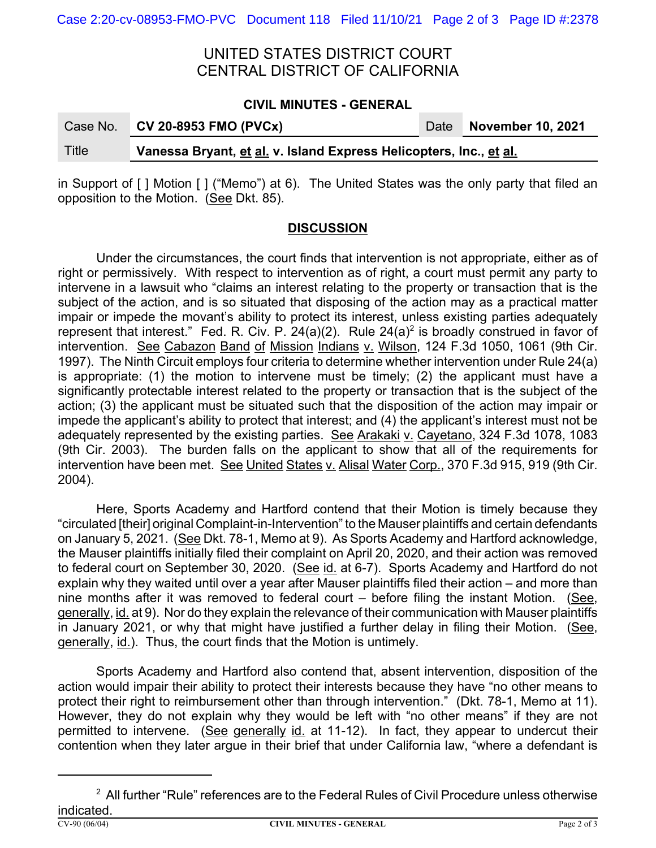## UNITED STATES DISTRICT COURT CENTRAL DISTRICT OF CALIFORNIA

#### **CIVIL MINUTES - GENERAL**

| Case No. | <b>CV 20-8953 FMO (PVCx)</b>                                       |  | Date November 10, 2021 |  |  |  |
|----------|--------------------------------------------------------------------|--|------------------------|--|--|--|
| Title    | Vanessa Bryant, et al. v. Island Express Helicopters, Inc., et al. |  |                        |  |  |  |

in Support of [ ] Motion [ ] ("Memo") at 6). The United States was the only party that filed an opposition to the Motion. (See Dkt. 85).

#### **DISCUSSION**

Under the circumstances, the court finds that intervention is not appropriate, either as of right or permissively. With respect to intervention as of right, a court must permit any party to intervene in a lawsuit who "claims an interest relating to the property or transaction that is the subject of the action, and is so situated that disposing of the action may as a practical matter impair or impede the movant's ability to protect its interest, unless existing parties adequately represent that interest." Fed. R. Civ. P. 24(a)(2). Rule 24(a)<sup>2</sup> is broadly construed in favor of intervention. See Cabazon Band of Mission Indians v. Wilson, 124 F.3d 1050, 1061 (9th Cir. 1997). The Ninth Circuit employs four criteria to determine whether intervention under Rule 24(a) is appropriate: (1) the motion to intervene must be timely; (2) the applicant must have a significantly protectable interest related to the property or transaction that is the subject of the action; (3) the applicant must be situated such that the disposition of the action may impair or impede the applicant's ability to protect that interest; and (4) the applicant's interest must not be adequately represented by the existing parties. See Arakaki v. Cayetano, 324 F.3d 1078, 1083 (9th Cir. 2003). The burden falls on the applicant to show that all of the requirements for intervention have been met. See United States v. Alisal Water Corp., 370 F.3d 915, 919 (9th Cir. 2004).

Here, Sports Academy and Hartford contend that their Motion is timely because they "circulated [their] original Complaint-in-Intervention" to the Mauser plaintiffs and certain defendants on January 5, 2021. (See Dkt. 78-1, Memo at 9). As Sports Academy and Hartford acknowledge, the Mauser plaintiffs initially filed their complaint on April 20, 2020, and their action was removed to federal court on September 30, 2020. (See id. at 6-7). Sports Academy and Hartford do not explain why they waited until over a year after Mauser plaintiffs filed their action – and more than nine months after it was removed to federal court  $-$  before filing the instant Motion. (See, generally, id. at 9). Nor do they explain the relevance of their communication with Mauser plaintiffs in January 2021, or why that might have justified a further delay in filing their Motion. (See, generally, id.). Thus, the court finds that the Motion is untimely.

Sports Academy and Hartford also contend that, absent intervention, disposition of the action would impair their ability to protect their interests because they have "no other means to protect their right to reimbursement other than through intervention." (Dkt. 78-1, Memo at 11). However, they do not explain why they would be left with "no other means" if they are not permitted to intervene. (See generally id. at 11-12). In fact, they appear to undercut their contention when they later argue in their brief that under California law, "where a defendant is

 $^{\rm 2}$  All further "Rule" references are to the Federal Rules of Civil Procedure unless otherwise indicated.